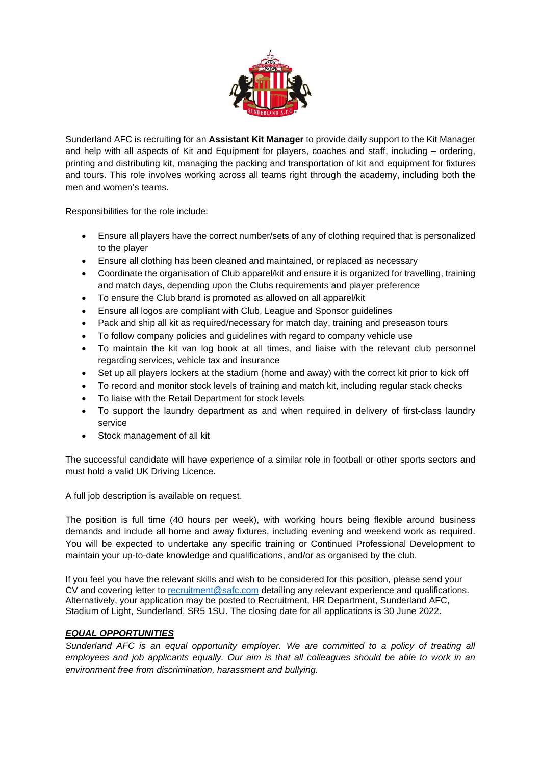

Sunderland AFC is recruiting for an **Assistant Kit Manager** to provide daily support to the Kit Manager and help with all aspects of Kit and Equipment for players, coaches and staff, including – ordering, printing and distributing kit, managing the packing and transportation of kit and equipment for fixtures and tours. This role involves working across all teams right through the academy, including both the men and women's teams.

Responsibilities for the role include:

- Ensure all players have the correct number/sets of any of clothing required that is personalized to the player
- Ensure all clothing has been cleaned and maintained, or replaced as necessary
- Coordinate the organisation of Club apparel/kit and ensure it is organized for travelling, training and match days, depending upon the Clubs requirements and player preference
- To ensure the Club brand is promoted as allowed on all apparel/kit
- Ensure all logos are compliant with Club, League and Sponsor guidelines
- Pack and ship all kit as required/necessary for match day, training and preseason tours
- To follow company policies and guidelines with regard to company vehicle use
- To maintain the kit van log book at all times, and liaise with the relevant club personnel regarding services, vehicle tax and insurance
- Set up all players lockers at the stadium (home and away) with the correct kit prior to kick off
- To record and monitor stock levels of training and match kit, including regular stack checks
- To liaise with the Retail Department for stock levels
- To support the laundry department as and when required in delivery of first-class laundry service
- Stock management of all kit

The successful candidate will have experience of a similar role in football or other sports sectors and must hold a valid UK Driving Licence.

A full job description is available on request.

The position is full time (40 hours per week), with working hours being flexible around business demands and include all home and away fixtures, including evening and weekend work as required. You will be expected to undertake any specific training or Continued Professional Development to maintain your up-to-date knowledge and qualifications, and/or as organised by the club.

If you feel you have the relevant skills and wish to be considered for this position, please send your CV and covering letter to [recruitment@safc.com](mailto:recruitment@safc.com) detailing any relevant experience and qualifications. Alternatively, your application may be posted to Recruitment, HR Department, Sunderland AFC, Stadium of Light, Sunderland, SR5 1SU. The closing date for all applications is 30 June 2022.

## *EQUAL OPPORTUNITIES*

*Sunderland AFC is an equal opportunity employer. We are committed to a policy of treating all employees and job applicants equally. Our aim is that all colleagues should be able to work in an environment free from discrimination, harassment and bullying.*